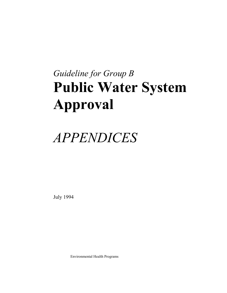# *Guideline for Group B*  **Public Water System Approval**

# *APPENDICES*

July 1994

Environmental Health Programs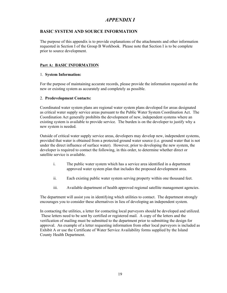# *APPENDIX I*

# **BASIC SYSTEM AND SOURCE INFORMATION**

The purpose of this appendix is to provide explanations of the attachments and other information requested in Section I of the Group B Workbook. Please note that Section I is to be complete prior to source development.

# **Part A: BASIC INFORMATION**

# 1. **System Information:**

For the purpose of maintaining accurate records, please provide the information requested on the new or existing system as accurately and completely as possible.

# 2. **Predevelopment Contacts:**

Coordinated water system plans are regional water system plans developed for areas designated as critical water supply service areas pursuant to the Public Water System Coordination Act. The Coordination Act generally prohibits the development of new, independent systems where an existing system is available to provide service. The burden is on the developer to justify why a new system is needed.

Outside of critical water supply service areas, developers may develop new, independent systems, provided that water is obtained from a protected ground water source (i.e. ground water that is not under the direct influence of surface water). However, prior to developing the new system, the developer is required to contact the following, in this order, to determine whether direct or satellite service is available.

- i. The public water system which has a service area identified in a department approved water system plan that includes the proposed development area.
- ii. Each existing public water system serving property within one thousand feet.
- iii. Available department of health approved regional satellite management agencies.

The department will assist you in identifying which utilities to contact. The department strongly encourages you to consider these alternatives in lieu of developing an independent system.

In contacting the utilities, a letter for contacting local purveyors should be developed and utilized. These letters need to be sent by certified or registered mail. A copy of the letters and the verification of mailing must be submitted to the department prior to submitting the design for approval. An example of a letter requesting information from other local purveyors is included as Exhibit A or use the Certificate of Water Service Availability forms supplied by the Island County Health Department.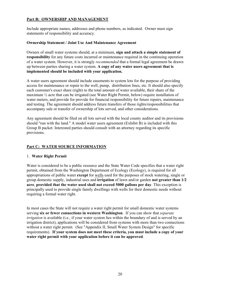# **Part B: OWNERSHIP AND MANAGEMENT**

Include appropriate names, addresses and phone numbers, as indicated. Owner must sign statements of responsibility and accuracy.

# **Ownership Statement / Joint Use And Maintenance Agreement**

Owners of small water systems should, at a minimum, **sign and attach a simple statement of responsibility** for any future costs incurred or maintenance required in the continuing operation of a water system. However, it is strongly *recommended* that a formal legal agreement be drawn up between parties sharing a water system. **A copy of any water users agreement that is implemented should be included with your application.**

A water users agreement should include easements to system lots for the purpose of providing access for maintenance or repair to the well, pump, distribution lines, etc. It should also specify each customer's exact share (right) to the total amount of water available, their share of the maximum ½ acre that can be irrigated (see Water Right Permit, below) require installation of water meters, and provide for provide for financial responsibility for future repairs, maintenance and testing. The agreement should address future transfers of those rights/responsibilities that accompany sale or transfer of ownership of lots served, and other considerations.

Any agreement should be filed on all lots served with the local county auditor and its provisions should "run with the land." A model water users agreement (Exhibit B) is included with this Group B packet. Interested parties should consult with an attorney regarding its specific provisions.

# **Part C: WATER SOURCE INFORMATION**

# 1. **Water Right Permit**

Water is considered to be a public resource and the State Water Code specifies that a water right permit, obtained from the Washington Department of Ecology (Ecology), is required for all appropriations of public water **except** for wells used for the purposes of stock watering, single or group domestic supply, industrial uses and **irrigation** of lawn and/or garden **not greater than 1/2 acre**, **provided that the water used shall not exceed 5000 gallons per day**. This exception is principally used to provide single family dwellings with wells for their domestic needs without requiring a formal water right.

In most cases the State will not require a water right permit for small domestic water systems serving **six or fewer connections in western Washington**. If you can show that *separate irrigation* is available (i.e., if your water system lies within the boundary of and is served by an irrigation district), applications will be considered from systems with more than two connections without a water right permit. (See "Appendix II, Small Water System Design" for specific requirements). **If your system does not meet these criteria, you must include a copy of your water right permit with your application before it can be approved**.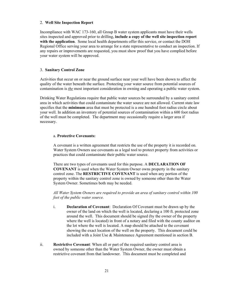#### 2. **Well Site Inspection Report**

Incompliance with WAC 173-160, all Group B water system applicants must have their wells sites inspected and approved prior to drilling, **include a copy of the well site inspection report with the application**. Some local health departments offer this service, or contact the DOH Regional Office serving your area to arrange for a state representative to conduct an inspection. If any repairs or improvements are requested, you must show proof that you have complied before your water system will be approved.

#### 3. **Sanitary Control Zone**

Activities that occur on or near the ground surface near your well have been shown to affect the quality of the water beneath the surface. Protecting your water source from potential sources of contamination is *the* most important consideration in owning and operating a public water system.

Drinking Water Regulations require that public water sources be surrounded by a sanitary control area in which activities that could contaminate the water source are not allowed. Current state law specifies that the **minimum** area that must be protected is a one hundred foot radius circle about your well. In addition an inventory of potential sources of contamination within a 600 foot radius of the well must be completed. The department may occasionally require a larger area if necessary.

#### a. **Protective Covenants:**

 A covenant is a written agreement that restricts the use of the property it is recorded on. Water System Owners use covenants as a legal tool to protect property from activities or practices that could contaminate their public water source.

 There are two types of covenants used for this purpose. A **DECLARATION OF COVENANT** is used when the Water System Owner owns property in the sanitary control zone. The **RESTRICTIVE COVENANT** is used when any portion of the property within the sanitary control zone is owned by someone other than the Water System Owner. Sometimes both may be needed.

 *All Water System Owners are required to provide an area of sanitary control within 100 feet of the public water source.*

- i. **Declaration of Covenant**: Declaration Of Covenant must be drawn up by the owner of the land on which the well is located, declaring a 100 ft. protected zone around the well. This document should be signed (by the owner of the property where the well is located) in front of a notary and filed with the county auditor on the lot where the well is located. A map should be attached to the covenant showing the exact location of the well on the property. This document could be included with a Joint Use & Maintenance Agreement mentioned in section B.
- ii. **Restrictive Covenant**: When all or part of the required sanitary control area is owned by someone other than the Water System Owner, the owner must obtain a restrictive covenant from that landowner. This document must be completed and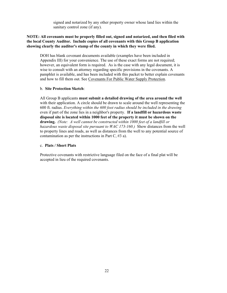signed and notarized by any other property owner whose land lies within the sanitary control zone (if any).

#### **NOTE: All covenants must be properly filled out, signed and notarized, and then filed with the local County Auditor. Include copies of all covenants with this Group B application showing clearly the auditor's stamp of the county in which they were filed.**

 DOH has blank covenant documents available (examples have been included in Appendix III) for your convenience. The use of these exact forms are not required; however, an equivalent form is required. As is the case with any legal document, it is wise to consult with an attorney regarding specific provisions in the covenants. A pamphlet is available, and has been included with this packet to better explain covenants and how to fill them out. See Covenants For Public Water Supply Protection.

#### b. **Site Protection Sketch**:

 All Group B applicants **must submit a detailed drawing of the area around the well** with their application. A circle should be drawn to scale around the well representing the 600 ft. radius. *Everything within the 600 foot radius should be included in the drawing* even if part of the zone lies in a neighbor's property. **If a landfill or hazardous waste disposal site is located within 1000 feet of the property it must be shown on the drawing.** *(Note: A well cannot be constructed within 1000 feet of a landfill or hazardous waste disposal site pursuant to WAC 173-160.)* Show distances from the well to property lines and roads, as well as distances from the well to any potential source of contamination as per the instructions in Part  $C$ , #3 a).

#### c. **Plats / Short Plats**

 Protective covenants with restrictive language filed on the face of a final plat will be accepted in lieu of the required covenants.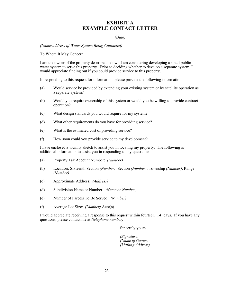# **EXHIBIT A EXAMPLE CONTACT LETTER**

#### *(Date)*

*(Name/Address of Water System Being Contacted)*

To Whom It May Concern:

I am the owner of the property described below. I am considering developing a small public water system to serve this property. Prior to deciding whether to develop a separate system, I would appreciate finding out if you could provide service to this property.

In responding to this request for information, please provide the following information:

- (a) Would service be provided by extending your existing system or by satellite operation as a separate system?
- (b) Would you require ownership of this system or would you be willing to provide contract operation?
- (c) What design standards you would require for my system?
- (d) What other requirements do you have for providing service?
- (e) What is the estimated cost of providing service?
- (f) How soon could you provide service to my development?

I have enclosed a vicinity sketch to assist you in locating my property. The following is additional information to assist you in responding to my questions:

- (a) Property Tax Account Number: *(Number)*
- (b) Location: Sixteenth Section *(Number)*, Section *(Number)*, Township *(Number)*, Range *(Number)*
- (c) Approximate Address: *(Address)*
- (d) Subdivision Name or Number: *(Name or Number)*
- (e) Number of Parcels To Be Served: *(Number)*
- (f) Average Lot Size: *(Number)* Acre(s)

I would appreciate receiving a response to this request within fourteen (14) days. If you have any questions, please contact me at *(telephone number)*.

Sincerely yours,

 *(Signature) (Name of Owner) (Mailing Address)*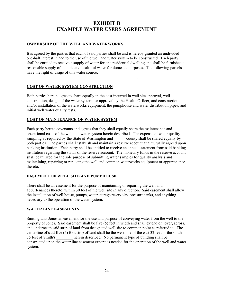# **EXHIBIT B EXAMPLE WATER USERS AGREEMENT**

# **OWNERSHIP OF THE WELL AND WATERWORKS**

 $\mathcal{L}_\text{max} = \mathcal{L}_\text{max} = \mathcal{L}_\text{max} = \mathcal{L}_\text{max} = \mathcal{L}_\text{max} = \mathcal{L}_\text{max} = \mathcal{L}_\text{max} = \mathcal{L}_\text{max} = \mathcal{L}_\text{max} = \mathcal{L}_\text{max} = \mathcal{L}_\text{max} = \mathcal{L}_\text{max} = \mathcal{L}_\text{max} = \mathcal{L}_\text{max} = \mathcal{L}_\text{max} = \mathcal{L}_\text{max} = \mathcal{L}_\text{max} = \mathcal{L}_\text{max} = \mathcal{$ 

It is agreed by the parties that each of said parties shall be and is hereby granted an undivided one-half interest in and to the use of the well and water system to be constructed. Each party shall be entitled to receive a supply of water for one residential dwelling and shall be furnished a reasonable supply of potable and healthful water for domestic purposes. The following parcels have the right of usage of this water source:

# **COST OF WATER SYSTEM CONSTRUCTION**

Both parties herein agree to share equally in the cost incurred in well site approval, well construction, design of the water system for approval by the Health Officer, and construction and/or installation of the waterworks equipment, the pumphouse and water distribution pipes, and initial well water quality tests.

# **COST OF MAINTENANCE OF WATER SYSTEM**

Each party hereto covenants and agrees that they shall equally share the maintenance and operational costs of the well and water system herein described. The expense of water quality sampling as required by the State of Washington and county shall be shared equally by both parties. The parties shall establish and maintain a reserve account at a mutually agreed upon banking institution. Each party shall be entitled to receive an annual statement from said banking institution regarding the status of the reserve account. The monetary funds in the reserve account shall be utilized for the sole purpose of submitting water samples for quality analysis and maintaining, repairing or replacing the well and common waterworks equipment or appurtenance thereto.

#### **EASEMENT OF WELL SITE AND PUMPHOUSE**

There shall be an easement for the purpose of maintaining or repairing the well and appurtenances thereto, within 30 feet of the well site in any direction. Said easement shall allow the installation of well house, pumps, water storage reservoirs, pressure tanks, and anything necessary to the operation of the water system.

#### **WATER LINE EASEMENTS**

Smith grants Jones an easement for the use and purpose of conveying water from the well to the property of Jones. Said easement shall be five (5) feet in width and shall extend on, over, across, and underneath said strip of land from designated well site to common point as referred to. The centerline of said five (5) foot strip of land shall be the west line of the east 32 feet of the south 75 feet of Smith's \_\_\_\_\_\_\_\_ herein described. No permanent type of building shall be constructed upon the water line easement except as needed for the operation of the well and water system.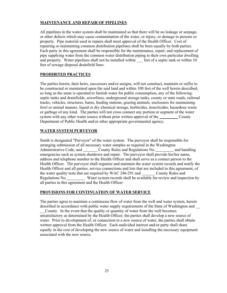# **MAINTENANCE AND REPAIR OF PIPELINES**

All pipelines in the water system shall be maintained so that there will be no leakage or seepage, or other defects which may cause contamination of the water, or injury, or damage to persons or property. Pipe material used in repairs shall meet approval of the Health Officer. Cost of repairing or maintaining common distribution pipelines shall be born equally by both parties. Each party in this agreement shall be responsible for the maintenance, repair, and replacement of pipe supplying water from the common water distribution piping to their own particular dwelling and property. Water pipelines shall not be installed within feet of a septic tank or within 10 feet of sewage disposal drainfield lines.

# **PROHIBITED PRACTICES**

The parties herein, their heirs, successors and/or assigns, will not construct, maintain or suffer to be constructed or maintained upon the said land and within 100 feet of the well herein described, so long as the same is operated to furnish water for public consumption, any of the following: septic tanks and drainfields, sewerlines, underground storage tanks, county or state roads, railroad tracks, vehicles, structures, barns, feeding stations, grazing animals, enclosures for maintaining fowl or animal manure, liquid or dry chemical storage, herbicides, insecticides, hazardous waste or garbage of any kind. The parties will not cross connect any portion or segment of the water system with any other water source without prior written approval of the County Department of Public Health and/or other appropriate governmental agency.

# **WATER SYSTEM PURVEYOR**

Smith is designated "Purveyor" of the water system. The purveyor shall be responsible for arranging submission of all necessary water samples as required in the Washington Administrative Code, and County Rules and Regulations No. and handling emergencies such as system shutdown and repair. The purveyor shall provide his/her name, address and telephone number to the Health Officer and shall serve as a contact person to the Health Officer. The purveyor shall organize and maintain the water system records and notify the Health Officer and all parties, service connections and lots that are included in this agreement, of the water quality tests that are required by WAC 246-291 and County Rules and Regulations No. \_\_\_\_\_\_\_\_\_. Water system records shall be available for review and inspection by all parties in this agreement and the Health Officer.

# **PROVISIONS FOR CONTINUATION OF WATER SERVICE**

The parties agree to maintain a continuous flow of water from the well and water system, herein described in accordance with public water supply requirements of the State of Washington and County. In the event that the quality or quantity of water from the well becomes unsatisfactory as determined by the Health Officer, the parties shall develop a new source of water. Prior to development of, or connection to a new source of water, the parties shall obtain written approval from the Health Officer. Each undivided interest and/or party shall share equally in the cost of developing the new source of water and installing the necessary equipment associated with the new source.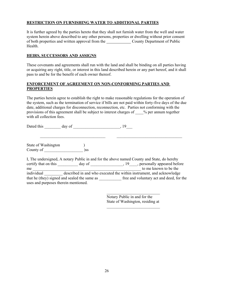# **RESTRICTION ON FURNISHING WATER TO ADDITIONAL PARTIES**

It is further agreed by the parties hereto that they shall not furnish water from the well and water system herein above described to any other persons, properties or dwelling without prior consent of both properties and written approval from the County Department of Public Health.

# **HEIRS, SUCCESSORS AND ASSIGNS**

These covenants and agreements shall run with the land and shall be binding on all parties having or acquiring any right, title, or interest in this land described herein or any part hereof, and it shall pass to and be for the benefit of each owner thereof.

# **ENFORCEMENT OF AGREEMENT ON NON-CONFORMING PARTIES AND PROPERTIES**

The parties herein agree to establish the right to make reasonable regulations for the operation of the system, such as the termination of service if bills are not paid within forty-five days of the due date, additional charges for disconnection, reconnection, etc. Parties not conforming with the provisions of this agreement shall be subject to interest charges of \_\_\_\_% per annum together with all collection fees.

 $\mathcal{L}_\text{max} = \frac{1}{2} \sum_{i=1}^{n} \frac{1}{2} \sum_{i=1}^{n} \frac{1}{2} \sum_{i=1}^{n} \frac{1}{2} \sum_{i=1}^{n} \frac{1}{2} \sum_{i=1}^{n} \frac{1}{2} \sum_{i=1}^{n} \frac{1}{2} \sum_{i=1}^{n} \frac{1}{2} \sum_{i=1}^{n} \frac{1}{2} \sum_{i=1}^{n} \frac{1}{2} \sum_{i=1}^{n} \frac{1}{2} \sum_{i=1}^{n} \frac{1}{2} \sum_{i=1}^{n} \frac{1$ 

Dated this \_\_\_\_\_\_\_\_ day of \_\_\_\_\_\_\_\_\_\_\_\_\_\_\_\_\_\_\_\_\_\_\_, 19\_\_\_

State of Washington (1) County of  $\overline{\qquad}$  )ss

|                                      | I, The undersigned, A notary Public in and for the above named County and State, do hereby |        |                                          |
|--------------------------------------|--------------------------------------------------------------------------------------------|--------|------------------------------------------|
| certify that on this                 | day of                                                                                     | $19 -$ | , personally appeared before             |
| me                                   |                                                                                            |        | to me known to be the                    |
| individual                           | described in and who executed the within instrument, and acknowledge                       |        |                                          |
|                                      | that he (they) signed and sealed the same as                                               |        | free and voluntary act and deed, for the |
| uses and purposes therein mentioned. |                                                                                            |        |                                          |

 $\mathcal{L}_\text{max} = \frac{1}{2} \sum_{i=1}^{n} \frac{1}{2} \sum_{i=1}^{n} \frac{1}{2} \sum_{i=1}^{n} \frac{1}{2} \sum_{i=1}^{n} \frac{1}{2} \sum_{i=1}^{n} \frac{1}{2} \sum_{i=1}^{n} \frac{1}{2} \sum_{i=1}^{n} \frac{1}{2} \sum_{i=1}^{n} \frac{1}{2} \sum_{i=1}^{n} \frac{1}{2} \sum_{i=1}^{n} \frac{1}{2} \sum_{i=1}^{n} \frac{1}{2} \sum_{i=1}^{n} \frac{1$ 

 $\mathcal{L}_\text{max}$  and  $\mathcal{L}_\text{max}$  and  $\mathcal{L}_\text{max}$  and  $\mathcal{L}_\text{max}$ 

 Notary Public in and for the State of Washington, residing at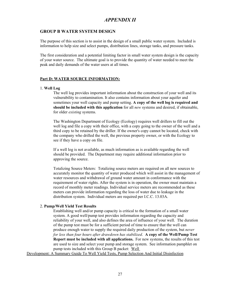# **GROUP B WATER SYSTEM DESIGN**

The purpose of this section is to assist in the design of a small public water system. Included is information to help size and select pumps, distribution lines, storage tanks, and pressure tanks.

The first consideration and a potential limiting factor in small water system design is the capacity of your water source. The ultimate goal is to provide the quantity of water needed to meet the peak and daily demands of the water users at all times.

# **Part D: WATER SOURCE INFORMATION:**

#### 1. **Well Log**

 The well log provides important information about the construction of your well and its vulnerability to contamination. It also contains information about your aquifer and sometimes your well capacity and pump setting. **A copy of the well log is required and should be included with this application** for all *new* systems and desired, if obtainable, for older *existing* systems.

 The Washington Department of Ecology (Ecology) requires well drillers to fill out the well log and file a copy with their office, with a copy going to the owner of the well and a third copy to be retained by the driller. If the owner's copy cannot be located, check with the company who drilled the well, the previous property owner, or with the Ecology to see if they have a copy on file.

 If a well log is not available, as much information as is available regarding the well should be provided. The Department may require additional information prior to approving the source.

 Totalizing Source Meters: Totalizing source meters are required on all new sources to accurately monitor the quantity of water produced which will assist in the management of water resources and withdrawal of ground water amount in conformance with the requirement of water rights. After the system is in operation, the owner must maintain a record of monthly meter readings. Individual service meters are recommended as these meters can provide information regarding the loss of water due to leakage in the distribution system. Individual meters are required per I.C.C. 13.03A.

# 2. **Pump/Well Yield Test Results**

 Establishing well and/or pump capacity is critical to the formation of a small water system. A good well/pump test provides information regarding the capacity and reliability of your well, and also defines the area of influence of your well. The duration of the pump test must be for a sufficient period of time to ensure that the well can produce enough water to supply the required daily production of the system, but *never for less than four hours after drawdown has stabilized*. **A copy of the Well/Pump Test Report must be included with all applications.** For new systems, the results of this test are used to size and select your pump and storage system. See information pamphlet on pump tests included with this Group B packet: Well

Development: A Summary Guide To Well Yield Tests, Pump Selection And Initial Disinfection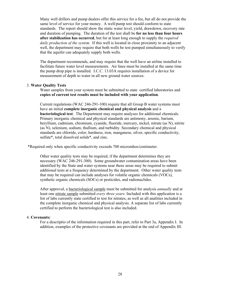Many well drillers and pump dealers offer this service for a fee, but all do not provide the same level of service for your money. A well/pump test should conform to state standards. The report should show the static water level, yield, drawdown, recovery rate and duration of pumping. The duration of the test shall be **for no less than four hours after stabilization has occurred**, but for at least long enough to supply the *required daily production of the system*. If this well is located in close proximity to an adjacent well, the department may require that both wells be test pumped simultaneously to verify that the aquifer can adequately supply both wells.

 The department recommends, and may require that the well have an airline installed to facilitate future water level measurements. Air lines must be installed at the same time the pump drop pipe is installed. I.C.C. 13.03A requires installation of a device for measurement of depth to water in all new ground water sources.

#### 3. **Water Quality Tests**

 Water samples from your system must be submitted to state certified laboratories and **copies of current test results must be included with your application**.

 Current regulations (WAC 246-291-100) require that all Group B water systems must have an initial **complete inorganic chemical and physical analysis** and a **bacteriological test**. The Department may require analyses for additional chemicals. Primary inorganic chemical and physical standards are antimony, arsenic, barium, beryllium, cadmium, chromium, cyanide, fluoride, mercury, nickel, nitrate (as N), nitrite (as N), selenium, sodium, thallium, and turbidity. Secondary chemical and physical standards are chloride, color, hardness, iron, manganese, silver, specific conductivity, sulfate\*, total dissolved solids\*, and zinc.

\*Required only when specific conductivity exceeds 700 micromhos/centimeter.

 Other water quality tests may be required, if the department determines they are necessary (WAC 246-291-300). Some groundwater contamination areas have been identified by the State and water systems near these areas may be required to submit additional tests at a frequency determined by the department. Other water quality tests that may be required can include analyses for volatile organic chemicals (VOCs), synthetic organic chemicals (SOCs) or pesticides, and radionuclides.

 After approval, a bacteriological sample must be submitted for analysis *annually* and at least one nitrate sample submitted *every three years*. Included with this application is a list of labs currently state certified to test for nitrates, as well as all analities included in the complete inorganic chemical and physical analysis. A separate list of labs currently certified to perform the bacteriological test is also included.

#### 4. **Covenants:**

 For a descriptio of the information required in this part, refer to Part 3a, Appendix I. In addition, examples of the protective covenants are provided at the end of Appendix III.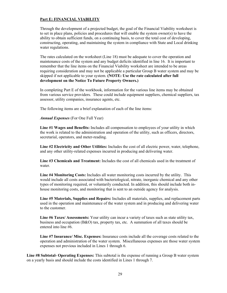# **Part E: FINANCIAL VIABILITY**

Through the development of a projected budget, the goal of the Financial Viability worksheet is to set in place plans, policies and procedures that will enable the system owner(s) to have the ability to obtain sufficient funds, on a continuing basis, to cover the total cost of developing, constructing, operating, and maintaining the system in compliance with State and Local drinking water regulations.

The rates calculated on the worksheet (Line 18) must be adequate to cover the operation and maintenance costs of the system and any budget deficits identified in line 16. It is important to remember that the line items on the Financial Viability worksheet are intended to be areas requiring consideration and may not be applicable a particular Group B water system and may be skipped if not applicable to your system. **(NOTE: Use the rate calculated after full development on the Notice To Future Property Owners.)**

In completing Part E of the workbook, information for the various line items may be obtained from various service providers. These could include equipment suppliers, chemical suppliers, tax assessor, utility companies, insurance agents, etc.

The following items are a brief explanation of each of the line items:

*Annual Expenses* (For One Full Year)

**Line #1 Wages and Benefits:** Includes all compensation to employees of your utility in which the work is related to the administration and operation of the utility, such as officers, directors, secretarial, operators, and meter-reading.

**Line #2 Electricity and Other Utilities:** Includes the cost of all electric power, water, telephone, and any other utility-related expenses incurred in producing and delivering water.

**Line #3 Chemicals and Treatment:** Includes the cost of all chemicals used in the treatment of water.

**Line #4 Monitoring Costs:** Includes all water monitoring costs incurred by the utility. This would include all costs associated with bacteriological, nitrate, inorganic chemical and any other types of monitoring required, or voluntarily conducted. In addition, this should include both inhouse monitoring costs, and monitoring that is sent to an outside agency for analysis.

**Line #5 Materials, Supplies and Repairs:** Includes all materials, supplies, and replacement parts used in the operation and maintenance of the water system and in producing and delivering water to the customer.

**Line #6 Taxes/ Assessments:** Your utility can incur a variety of taxes such as state utility tax, business and occupation (B&O) tax, property tax, etc. A summation of all taxes should be entered into line #6.

**Line #7 Insurance/ Misc. Expenses:** Insurance costs include all the coverage costs related to the operation and administration of the water system. Miscellaneous expenses are those water system expenses not previous included in Lines 1 through 6.

**Line #8 Subtotal- Operating Expenses:** This subtotal is the expense of running a Group B water system on a yearly basis and should include the costs identified in Lines 1 through 7.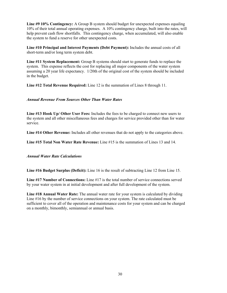**Line #9 10% Contingency:** A Group B system should budget for unexpected expenses equaling 10% of their total annual operating expenses. A 10% contingency charge, built into the rates, will help prevent cash flow shortfalls. This contingency charge, when accumulated, will also enable the system to fund a reserve for other unexpected costs.

**Line #10 Principal and Interest Payments (Debt Payment):** Includes the annual costs of all short-term and/or long term system debt.

**Line #11 System Replacement:** Group B systems should start to generate funds to replace the system. This expense reflects the cost for replacing all major components of the water system assuming a 20 year life expectancy. 1/20th of the original cost of the system should be included in the budget.

**Line #12 Total Revenue Required:** Line 12 is the summation of Lines 8 through 11.

# *Annual Revenue From Sources Other Than Water Rates*

**Line #13 Hook Up/ Other User Fees:** Includes the fees to be charged to connect new users to the system and all other miscellaneous fees and charges for service provided other than for water service.

**Line #14 Other Revenue:** Includes all other revenues that do not apply to the categories above.

**Line #15 Total Non Water Rate Revenue:** Line #15 is the summation of Lines 13 and 14.

*Annual Water Rate Calculations*

**Line #16 Budget Surplus (Deficit):** Line 16 is the result of subtracting Line 12 from Line 15.

**Line #17 Number of Connections:** Line #17 is the total number of service connections served by your water system in at initial development and after full development of the system.

**Line #18 Annual Water Rate:** The annual water rate for your system is calculated by dividing Line #16 by the number of service connections on your system. The rate calculated must be sufficient to cover all of the operation and maintenance costs for your system and can be charged on a monthly, bimonthly, semiannual or annual basis.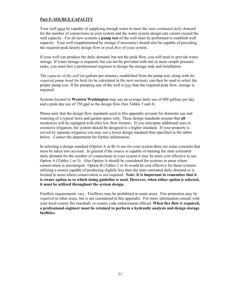# **Part F: SOURCE CAPACITY**

Your well *must* be capable of supplying enough water to meet the *state estimated daily demand* for the number of connections in your system and the water system design rate cannot exceed the well capacity. For all new systems a **pump test** of the well must be performed to establish well capacity. Your well (supplemented by storage if necessary) should also be capable of providing the required peak hourly design flow or *peak flow* of your system.

If your well can produce the daily demand, but not the peak flow, you will need to provide water storage. If water storage is required, but can not be provided with one or more simple pressure tanks, you must hire a professional engineer to design the storage tank and installation.

The *capacity of the well* (in gallons per minute), established from the pump test, along with *the required pump head* (in feet) (to be calculated in the next section), can then be used to select the proper pump size. If the pumping rate of the well is *less* than the required peak flow, storage is required.

Systems located in **Western Washington** may use an average daily use of 400 gallons per day and a peak day use of 750 gpd as the design flow (See Tables 3 and 4).

Please note that the design flow standards used in this appendix account for domestic use and watering of a typical lawn and garden space only. These design standards assume that **all** residences will be equipped with ultra low flow fixtures. If you anticipate additional uses or extensive irrigation, the system should be designed to a higher standard. If your property is served by separate irrigation you may use a lower design standard than specified in the tables below. Contact the department for further information.

In selecting a design standard (Option A or B) to use for your system there are some concerns that must be taken into account. In general if the source is capable of meeting the state estimated daily demand for the number of connections in your system it may be more cost effective to use Option A (Tables 1 or 3). Also Option A should be considered for systems in areas where conservation is encouraged. Option B (Tables 2 or 4) would be cost effective for those systems utilizing a source capable of producing slightly less than the state estimated daily demand or is located in areas where conservation is not required. **Note: It is important to remember that it is owner option as to which sizing guideline is used. However, when either option is selected, it must be utilized throughout the system design.**

Fireflow requirements vary. Fireflows may be prohibited in some areas. Fire protection may be *required* in other areas, but is not considered in this appendix. For more information consult with your local county fire marshall, or county code enforcement official. **When fire flow** *is* **required, a professional engineer must be retained to perform a hydraulic analysis and design storage facilities.**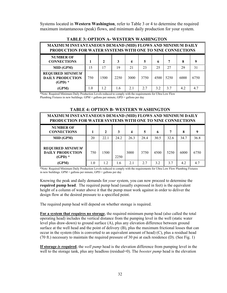Systems located in **Western Washington**, refer to Table 3 or 4 to determine the required maximum instantaneous (peak) flows, and minimum daily production for your system.

| <b>MAXIMUM INSTANTANEOUS DEMAND (MID) FLOWS AND MINIMUM DAILY</b><br>PRODUCTION FOR WATER SYSTEMS WITH ONE TO NINE CONNECTIONS |     |      |      |      |      |      |      |      |      |  |
|--------------------------------------------------------------------------------------------------------------------------------|-----|------|------|------|------|------|------|------|------|--|
| <b>NUMBER OF</b><br><b>CONNECTIONS</b>                                                                                         |     |      | 3    | 4    |      | 6    | 7    | 8    | q    |  |
| MID (GPM)                                                                                                                      | 15  | 17   | 19   | 21   | 23   | 25   | 27   | 29   | 31   |  |
| <b>REQUIRED MINIMUM</b><br><b>DAILY PRODUCTION</b><br>$(GPD)$ *                                                                | 750 | 1500 | 2250 | 3000 | 3750 | 4500 | 5250 | 6000 | 6750 |  |
| (GPM)                                                                                                                          | 1.0 | 1.2  | 1.6  | 2.1  | 2.7  | 3.2  | 3.7  | 4.2  | 4.7  |  |

# **TABLE 3: OPTION A- WESTERN WASHINGTON**

\*Note: Required Minimum Daily Production Levels reduced to comply with the requirements for Ultra Low Flow Plumbing Fixtures in new buildings. GPM = gallons per minute, GPD = gallons per day

# **TABLE 4: OPTION B- WESTERN WASHINGTON**

| <b>MAXIMUM INSTANTANEOUS DEMAND (MID) FLOWS AND MINIMUM DAILY</b><br>PRODUCTION FOR WATER SYSTEMS WITH ONE TO NINE CONNECTIONS |     |      |      |      |      |      |      |      |      |  |  |
|--------------------------------------------------------------------------------------------------------------------------------|-----|------|------|------|------|------|------|------|------|--|--|
| <b>NUMBER OF</b><br><b>CONNECTIONS</b>                                                                                         |     |      | 3    | 4    | 5    | 6    |      | 8    |      |  |  |
| MID (GPM)                                                                                                                      | 20  | 22.1 | 24.2 | 26.3 | 28.4 | 30.5 | 32.6 | 34.7 | 36.8 |  |  |
| <b>REQUIRED MINIMUM</b><br><b>DAILY PRODUCTION</b><br>$(GPD)$ *                                                                | 750 | 1500 | 2250 | 3000 | 3750 | 4500 | 5250 | 6000 | 6750 |  |  |
| (GPM)                                                                                                                          | 1.0 | 1.2  | 1.6  | 2.1  | 2.7  | 3.2  | 3.7  | 4.2  | 4.7  |  |  |

\*Note: Required Minimum Daily Production Levels reduced to comply with the requirements for Ultra Low Flow Plumbing Fixtures in new buildings. GPM = gallons per minute, GPD = gallons per day

Knowing the peak and daily demands for *your* system, you can now proceed to determine the **required pump head**. The required pump head (usually expressed in feet) is the equivalent height of a column of water above it that the pump must work against in order to deliver the design flow at the desired pressure to a specified point.

The required pump head will depend on whether storage is required.

**For a system that requires no storage**, the required minimum pump head (also called the total operating head) includes the vertical distance from the pumping level in the well (static water level plus draw-down) to ground surface (A), plus any elevation difference between ground surface at the well head and the point of delivery (B), plus the maximum frictional losses that can occur in the system (this is converted to an equivalent amount of head)  $(C)$ , plus a residual head (70 ft.) necessary to maintain the required pressure of 30 psi at each residence (D). (See Fig. 1)

**If storage** *is* **required**, the *well pump* head is the elevation difference from pumping level in the well to the storage tank, plus any headloss (residual=0). The *booster pump* head is the elevation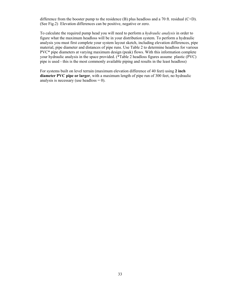difference from the booster pump to the residence  $(B)$  plus headloss and a 70 ft. residual  $(C+D)$ . (See Fig.2) Elevation differences can be positive, negative or zero.

To calculate the required pump head you will need to perform a *hydraulic analysis* in order to figure what the maximum headloss will be in your distribution system. To perform a hydraulic analysis you must first complete your system layout sketch, including elevation differences, pipe material, pipe diameter and distances of pipe runs. Use Table 2 to determine headloss for various PVC\* pipe diameters at varying maximum design (peak) flows. With this information complete your hydraulic analysis in the space provided. (\*Table 2 headloss figures assume plastic (PVC) pipe is used - this is the most commonly available piping and results in the least headloss)

For systems built on level terrain (maximum elevation difference of 40 feet) using **2 inch diameter PVC pipe or larger**, with a maximum length of pipe run of 300 feet, no hydraulic analysis is necessary (use headloss  $= 0$ ).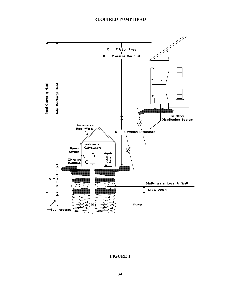# **REQUIRED PUMP HEAD**



# **FIGURE 1**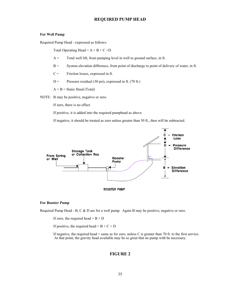#### **REQUIRED PUMP HEAD**

#### **For Well Pump**

Required Pump Head - expressed as follows:

Total Operating Head =  $A + B + C + D$ 

- $A =$  Total well lift, from pumping level in well to ground surface, in ft.
- B = System elevation difference, from point of discharge to point of delivery of water, in ft.
- $C =$  Friction losses, expressed in ft.
- $D =$  Pressure residual (30 psi), expressed in ft. (70 ft.)

 $A + B$  = Static Head (Total)

NOTE: B may be positive, negative or zero.

If zero, there is no effect.

If positive, it is added into the required pumphead as above.

If negative, it should be treated as zero unless greater than 50 ft., then will be subtracted.





#### **For Booster Pump**

Required Pump Head - B, C & D are for a well pump. Again B may be positive, negative or zero.

If zero, the required head  $= B + D$ 

If positive, the required head =  $B + C + D$ 

If negative, the required head  $=$  same as for zero, unless C is greater than 70 ft. to the first service. At that point, the gravity head available may be so great that no pump with be necessary.

#### **FIGURE 2**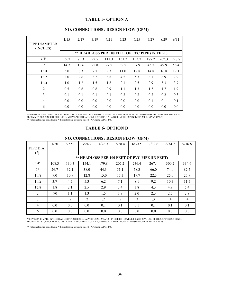# **TABLE 5- OPTION A**

|                           | 1/15 | 2/17 | 3/19 | 4/21  | 5/23                                           | 6/25  | 7/27  | 8/29  | 9/31  |
|---------------------------|------|------|------|-------|------------------------------------------------|-------|-------|-------|-------|
| PIPE DIAMETER<br>(INCHES) |      |      |      |       |                                                |       |       |       |       |
|                           |      |      |      |       | ** HEADLOSS PER 100 FEET OF PVC PIPE (IN FEET) |       |       |       |       |
| $3/4*$                    | 59.7 | 75.3 | 92.5 | 111.3 | 131.7                                          | 153.7 | 177.2 | 202.3 | 228.8 |
| $1*$                      | 14.7 | 18.6 | 22.8 | 27.5  | 32.5                                           | 37.9  | 43.7  | 49.9  | 56.4  |
| 11/4                      | 5.0  | 6.3  | 7.7  | 9.3   | 11.0                                           | 12.8  | 14.8  | 16.8  | 19.1  |
| 11/2                      | 2.0  | 2.6  | 3.2  | 3.8   | 4.5                                            | 5.3   | 6.1   | 6.9   | 7.9   |
| 13/4                      | 1.0  | 1.2  | 1.5  | 1.8   | 2.1                                            | 2.5   | 2.9   | 3.3   | 3.7   |
| $\overline{2}$            | 0.5  | 0.6  | 0.8  | 0.9   | 1.1                                            | 1.3   | 1.5   | 1.7   | 1.9   |
| 3                         | 0.1  | 0.1  | 0.1  | 0.1   | 0.2                                            | 0.2   | 0.2   | 0.2   | 0.3   |
| $\overline{4}$            | 0.0  | 0.0  | 0.0  | 0.0   | 0.0                                            | 0.0   | 0.1   | 0.1   | 0.1   |
| 6                         | 0.0  | 0.0  | 0.0  | 0.0   | 0.0                                            | 0.0   | 0.0   | 0.0   | 0.0   |

# **NO. CONNECTIONS / DESIGN FLOW (GPM)**

\* PROVISION IS MADE IN THE HEADLOSS TABLE FOR ANALYSIS USING 3/4 AND 1 INCH PIPE. HOWEVER, EXTENSIVE USE OF THESE PIPE SIZES IS NOT<br>RECOMMENDED, SINCE IT RESULTS IN VERY LARGE HEADLOSS, REQUIRING A LARGER, MORE EXPENSIVE P \*\* Values calculated using Hazen-Williams formula assuming smooth (PVC) pipe and CH 140.

# **TABLE 6- OPTION B**

# **NO. CONNECTIONS / DESIGN FLOW (GPM)**

|                | 1/20      | 2/22.1  | 3/24.2    | 4/26.3  | 5/28.4                                         | 6/30.5    | 7/32.6    | 8/34.7        | 9/36.8 |
|----------------|-----------|---------|-----------|---------|------------------------------------------------|-----------|-----------|---------------|--------|
| PIPE DIA.      |           |         |           |         |                                                |           |           |               |        |
| (")            |           |         |           |         |                                                |           |           |               |        |
|                |           |         |           |         | ** HEADLOSS PER 100 FEET OF PVC PIPE (IN FEET) |           |           |               |        |
| $3/4*$         | 108.3     | 130.3   | 154.1     | 179.8   | 207.2                                          | 236.4     | 267.4     | 300.2         | 334.6  |
| $1*$           | 26.7      | 32.1    | 38.0      | 44.3    | 51.1                                           | 58.3      | 66.0      | 74.0          | 82.5   |
| 11/4           | 9.0       | 10.9    | 12.8      | 15.0    | 17.3                                           | 19.7      | 22.3      | 25.0          | 27.9   |
| 11/2           | 3.7       | 4.5     | 5.3       | 6.2     | 7.1                                            | 8.1       | 9.2       | 10.3          | 11.5   |
| 13/4           | 1.8       | 2.1     | 2.5       | 2.9     | 3.4                                            | 3.8       | 4.3       | 4.9           | 5.4    |
| 2              | .90       | 1.1     | 1.3       | 1.5     | 1.8                                            | 2.0       | 2.3       | 2.5           | 2.8    |
| 3              | $\cdot$ 1 | $\cdot$ | $\cdot$ 2 | $\cdot$ | $\cdot$                                        | $\cdot$ 3 | $\cdot$ 3 | $\mathcal{A}$ | .4     |
| $\overline{4}$ | 0.0       | 0.0     | 0.0       | 0.1     | 0.1                                            | 0.1       | 0.1       | 0.1           | 0.1    |
| 6              | 0.0       | 0.0     | 0.0       | 0.0     | 0.0                                            | 0.0       | 0.0       | 0.0           | 0.0    |

\*PROVISION IS MADE IN THE HEADLOSS TABLE FOR ANALYSIS USING 3/4 AND 1 INCH PIPE. HOWEVER, EXTENSIVE USE OF THESE PIPE SIZES IS NOT RECOMMENDED, SINCE IT RESULTS IN VERY LARGE HEADLOSS, REQUIRING A LARGER, MORE EXPENSIVE PUMP IN MANY CASES

\*\* Values calculated using Hazen-Williams formula assuming smooth (PVC) pipe and CH 140.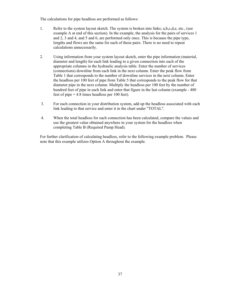The calculations for pipe headloss are performed as follows:

- 1. Refer to the system layout sketch. The system is broken into links; a,b,c,d,e, etc., (see example A at end of this section). In the example, the analysis for the pairs of services 1 and 2, 3 and 4, and 5 and 6, are performed only once. This is because the pipe type, lengths and flows are the same for each of these pairs. There is no need to repeat calculations unnecessarily.
- 2. Using information from your system layout sketch, enter the pipe information (material, diameter and length) for each link leading to a given connection into each of the appropriate columns in the hydraulic analysis table. Enter the number of services (connections) downline from each link in the next column. Enter the peak flow from Table 1 that corresponds to the number of downline services in the next column. Enter the headloss per 100 feet of pipe from Table 5 that corresponds to the peak flow for that diameter pipe in the next column. Multiply the headloss per 100 feet by the number of hundred feet of pipe in each link and enter that figure in the last column (example - 480 feet of pipe  $= 4.8$  times headloss per 100 feet).
- 3. For each connection in your distribution system, add up the headloss associated with each link leading to that service and enter it in the chart under "TOTAL".
- 4. When the total headloss for each connection has been calculated, compare the values and use the greatest value obtained anywhere in your system for the headloss when completing Table B (Required Pump Head).

For further clarification of calculating headloss, refer to the following example problem. Please note that this example utilizes Option A throughout the example.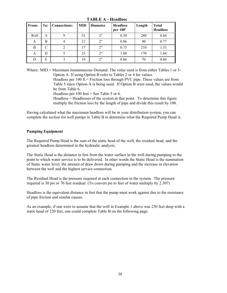| <b>From:</b> | To: | <b>Connections:</b> | <b>MID</b> | <b>Diameter</b> | <b>Headloss</b><br>per 100' | Length | <b>Total</b><br><b>Headloss</b> |
|--------------|-----|---------------------|------------|-----------------|-----------------------------|--------|---------------------------------|
| Well         | А   |                     | 31         | 2"              | 0.30                        | 280    | 0.84                            |
| A            | В   |                     | 21         | 2"              | 0.86                        | 90     | 0.77                            |
| В            | C   |                     | 17         | 2"              | 0.73                        | 210    | 1.53                            |
| A            | D   |                     | 23         | 2"              | 1.08                        | 170    | 1.84                            |
| D            | E   |                     | 19         | 2"              | 0.86                        | 70     | 0.60                            |

 **TABLE A - Headloss**

Where: MID = Maximum Instantaneous Demand. The value used is from either Tables 1 or 3-Option A. If using Option B refer to Tables 2 or 4 for values.

Headloss per 100 ft. = Friction loss through PVC pipe. These values are from Table 5 since Option A is being used. If Option B were used, the values would be from Table 6.

Headloss per 100 feet = See Table 5 or 6.

Headloss = Headlosses of the system at that point. To determine this figure multiply the friction loss by the length of pipe and divide this result by 100.

Having calculated what the maximum headloss will be in your distribution system, you can complete the section for well pumps in Table B to determine what the Required Pump Head is.

# **Pumping Equipment**

The Required Pump Head is the sum of the static head of the well, the residual head, and the greatest headloss determined in the hydraulic analysis.

The Static Head is the distance in feet from the water surface in the well during pumping to the point to which water service is to be delivered. In other words the Static Head is the summation of Static water level, the amount of draw down during pumping and the increase in elevation between the well and the highest service connection.

The Residual Head is the pressure required at each connection in the system. The pressure required is 30 psi or 70 feet residual. (To convert psi to feet of water multiply by 2.307)

Headloss is the equivalent distance in feet that the pump must work against due to the resistance of pipe friction and similar causes.

As an example, if one were to assume that the well in Example 1 above was 250 feet deep with a static head of 220 feet, one could complete Table B on the following page.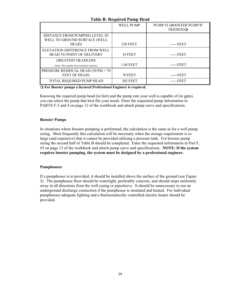|                                                                         | ruole B - Requireu I ump Heug |                                      |
|-------------------------------------------------------------------------|-------------------------------|--------------------------------------|
|                                                                         | <b>WELL PUMP</b>              | PUMP #2 (BOOSTER PUMP IF<br>NEEDED)Q |
| DISTANCE FROM PUMPING LEVEL IN<br>WELL TO GROUND SURFACE (WELL<br>HEAD) | <b>220 FEET</b>               | ------FEET                           |
| ELEVATION DIFFERENCE FROM WELL<br>HEAD TO POINT OF DELIVERY             | 10 FEET                       | ------FEET                           |
| <b>GREATEST HEADLOSS</b><br>(Note: This number from hydraulic analysis) | 1.84 FEET                     | ------FEET                           |
| PRESSURE RESIDUAL HEAD (30 PSI = 70<br>FEET OF HEAD)                    | <b>70 FEET</b>                | ------FEET                           |
| TOTAL REQUIRED PUMP HEAD                                                | <b>302 FEET</b>               | ------FEET                           |

# **Table B- Required Pump Head**

 **For Booster pumps a licensed Professional Engineer is required.**

Knowing the required pump head (in feet) and the pump rate your well is capable of (in gpm), you can select the pump that best fits your needs. Enter the requested pump information in PARTS F-3 and 4 on page 12 of the workbook and attach pump curve and specifications.

#### **Booster Pumps**

In situations where booster pumping is performed, the calculation is the same as for a well pump sizing. Most frequently this calculation will be necessary when the storage requirement is so large (and expensive) that it cannot be provided utilizing a pressure tank. For booster pump sizing the second half of Table B should be completed. Enter the requested information in Part F, #5 on page 13 of the workbook and attach pump curve and specifications. **NOTE: If the system requires booster pumping, the system must be designed by a professional engineer.**

#### **Pumphouses**

If a pumphouse is to provided, it should be installed above the surface of the ground (see Figure 3). The pumphouse floor should be watertight, preferably concrete, and should slope uniformly away in all directions from the well casing or pipesleeve. It should be unnecessary to use an underground discharge connection if the pumphouse is insulated and heated. For individual pumphouses adequate lighting and a thermostatically controlled electric heater should be provided.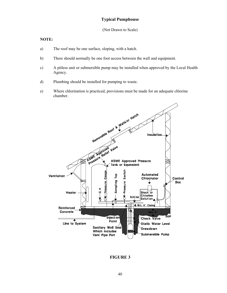# **Typical Pumphouse**

(Not Drawn to Scale)

# **NOTE:**

- a) The roof may be one surface, sloping, with a hatch.
- b) There should normally be one foot access between the wall and equipment.
- c) A pitless unit or submersible pump may be installed when approved by the Local Health Agency.
- d) Plumbing should be installed for pumping to waste.
- e) Where chlorination is practiced, provisions must be made for an adequate chlorine chamber.



# **FIGURE 3**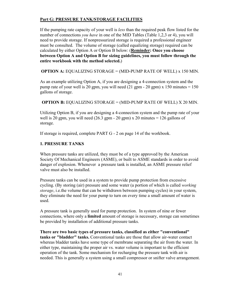# **Part G: PRESSURE TANK/STORAGE FACILITIES**

If the pumping rate capacity of your well is *less* than the required peak flow listed for the number of connections *you have* in one of the MID Tables (Table 1,2,3 or 4), you will need to provide storage. If nonpressurized storage is required a professional engineer must be consulted. The volume of storage (called equalizing storage) required can be calculated by either Option A or Option B below: (**Reminder: Once you choose between Option A and Option B for sizing guidelines, you must follow through the entire workbook with the method selected.**)

 **OPTION A:** EQUALIZING STORAGE = (MID-PUMP RATE OF WELL) x 150 MIN.

As an example utilizing Option A, if you are designing a 4-connection system and the pump rate of your well is 20 gpm, you will need  $(21 \text{ gpm} - 20 \text{ gpm}) \times 150 \text{ minutes} = 150$ gallons of storage.

 **OPTION B:** EQUALIZING STORAGE = (MID-PUMP RATE OF WELL) X 20 MIN.

Utilizing Option B, if you are designing a 4-connection system and the pump rate of your well is 20 gpm, you will need  $(26.3$  gpm - 20 gpm) x 20 minutes = 126 gallons of storage.

If storage is required, complete PART G - 2 on page 14 of the workbook.

# **1. PRESSURE TANKS**

When pressure tanks are utilized, they must be of a type approved by the American Society Of Mechanical Engineers (ASME), or built to ASME standards in order to avoid danger of explosion. Whenever a pressure tank is installed, an ASME pressure relief valve must also be installed.

Pressure tanks can be used in a system to provide pump protection from excessive cycling. (By storing (air) pressure and some water (a portion of which is called *working storage*, i.e.the volume that can be withdrawn between pumping cycles) in your system, they eliminate the need for your pump to turn on every time a small amount of water is used.

A pressure tank is generally used for pump protection. In system of nine or fewer connections, where only a **limited** amount of storage is necessary, storage can sometimes be provided by installation of additional pressure tanks.

**There are two basic types of pressure tanks, classified as either "conventional" tanks or "bladder" tanks.** Conventional tanks are those that allow air-water contact whereas bladder tanks have some type of membrane separating the air from the water. In either type, maintaining the proper air vs. water volume is important to the efficient operation of the tank. Some mechanism for recharging the pressure tank with air is needed. This is generally a system using a small compressor or snifter valve arrangement.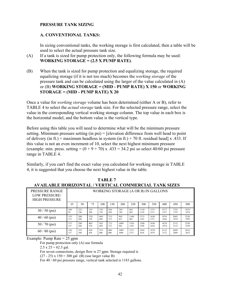# **PRESSURE TANK SIZING**

# **A. CONVENTIONAL TANKS:**

In sizing conventional tanks, the working storage is first calculated, then a table will be used to select the actual pressure tank size.

- (A) If a tank is sized for pump protection only, the following formula may be used: **WORKING STORAGE = (2.5 X PUMP RATE)**.
- (B) When the tank is sized for pump protection and equalizing storage, the required equalizing storage (if it is not too much) becomes the *working storage* of the pressure tank and can be calculated using the larger of the value calculated in (A) or (B) **WORKING STORAGE = (MID - PUMP RATE) X 150** or **WORKING STORAGE = (MID - PUMP RATE) X 20**

Once a value for *working storage* volume has been determined (either A or B), refer to TABLE 4 to select the *actual storage* tank size. For the selected pressure range, select the value in the corresponding vertical working storage column. The top value in each box is the horizontal model, and the bottom value is the vertical type.

Before using this table you will need to determine what will be the minimum pressure setting. Minimum pressure setting (in psi) = [elevation difference from well head to point of delivery (in ft.) + maximum headloss in system (in ft.) + 70 ft. residual head] x .433. If this value is not an even increment of 10, select the next highest minimum pressure (example: min. press. setting =  $(0 + 9 + 70)$  x .433 = 34.2 psi so select 40/60 psi pressure range in TABLE 4.

Similarly, if you can't find the exact value you calculated for working storage in TABLE 4, it is suggested that you choose the next highest value in the table.

| PRESSURE RANGE<br><b>LOW PRESSURE/</b><br><b>HIGH PRESSURE</b> |      | WORKING STORAGE (A OR B) IN GALLONS |      |      |      |       |       |       |       |       |       |       |
|----------------------------------------------------------------|------|-------------------------------------|------|------|------|-------|-------|-------|-------|-------|-------|-------|
|                                                                | 25   | 50                                  | 75   | 100  | 150  | 200   | 250   | 300   | 350   | 400   | 450   | 500   |
| $30 / 50$ (psi)                                                | 109/ | 223/                                | 333/ | 370/ | 594/ | 749/  | 965/  | 1110/ | 1371/ | 1517/ | 1755/ | 1874/ |
|                                                                | 93   | 186                                 | 296  | 370  | 594  | 749   | 965   | 1110  | 1371  | 1517  | 1755  | 1874  |
| $40/60$ (psi)                                                  | 135/ | 260/                                | 370/ | 489/ | 712/ | 965/  | 1160/ | 1371/ | 1636/ | 1874/ | 2045/ | 2338/ |
|                                                                | 113  | 260                                 | 370  | 489  | 712  | 821   | 962   | 1183  | 1371  | 1636  | 1874  | 1993  |
| $50/70$ (psi)                                                  | 137/ | 296/                                | 405/ | 542/ | 712/ | 1089/ | 1183/ | 1398/ | 1636/ | 1874/ | 2112/ | 2338/ |
|                                                                | 137  | 260                                 | 370  | 489  | 712  | 962   | 1183  | 1398  | 1636  | 1874  | 2112  | 2338  |
| $60 / 80$ (psi)                                                | 156/ | 333/                                | 436/ | 533/ | 806/ | 1089/ | 1371/ | 1636/ | 1874/ | 2112/ | 2609/ | 2632/ |
|                                                                | 137  | 260                                 | 436  | 806  | 806  | 1089  | 1371  | 1636  | 1874  | 2112  | 2609  | 2632  |

 **TABLE 7 AVAILABLE HORIZONTAL / VERTICAL COMMERCIAL TANK SIZES**

Example: Pump Rate = 25 gpm

For pump protection only (A) use formula

 $2.5 \times 25 = 62.5$  gal.

For seven connections, design flow is 27 gpm. Storage required is

 $(27 - 25)$  x  $150 = 300$  gal (B) (use larger value B)

For 40 / 60 psi pressure range, vertical tank selected is 1183 gallons.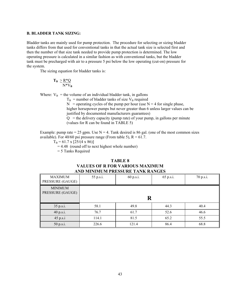#### **B. BLADDER TANK SIZING:**

Bladder tanks are mainly used for pump protection. The procedure for selecting or sizing bladder tanks differs from that used for conventional tanks in that the actual tank size is selected first and then the number of that size tank needed to provide pump protection is determined. The low operating pressure is calculated in a similar fashion as with conventional tanks, but the bladder tank must be precharged with air to a pressure 5 psi below the low operating (cut-on) pressure for the system.

The sizing equation for bladder tanks is:

$$
\mathbf{T_B} \geq \frac{\mathbf{R}^* \mathbf{Q}}{\mathbf{N}^* \mathbf{V_B}}
$$

Where:  $V_B$  = the volume of an individual bladder tank, in gallons

 $T_B$  = number of bladder tanks of size  $V_B$  required

 $N =$  operating cycles of the pump per hour (use  $N = 4$  for single phase, higher horsepower pumps but never greater than 6 unless larger values can be justified by documented manufacturers guarantees)

 $Q =$  the delivery capacity (pump rate) of your pump, in gallons per minute (values for R can be found in TABLE 5)

Example: pump rate = 25 gpm. Use  $N = 4$ . Tank desired is 86 gal. (one of the most common sizes available). For 40/60 psi pressure range (From table 5),  $R = 61.7$ .

 $T_B = 61.7 \times [25/(4 \times 86)]$ 

= 4.48 (round off to next highest whole number)

= 5 Tanks Required

# **TABLE 8 VALUES OF R FOR VARIOUS MAXIMUM AND MINIMUM PRESSURE TANK RANGES**

| <b>MAXIMUM</b><br>PRESSURE (GAUGE) | 55 p.s.i. | 60 p.s.i. | 65 p.s.i. | 70 p.s.i. |
|------------------------------------|-----------|-----------|-----------|-----------|
| <b>MINIMUM</b><br>PRESSURE (GAUGE) |           | R         |           |           |
| 35 p.s.i.                          | 58.1      | 49.8      | 44.3      | 40.4      |
| 40 p.s.i.                          | 76.7      | 61.7      | 52.6      | 46.6      |
| 45 p.s.i                           | 114.1     | 81.5      | 65.2      | 55.5      |
| 50 p.s.i.                          | 226.6     | 121.4     | 86.4      | 68.8      |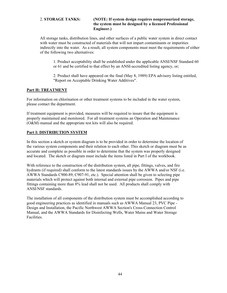# 2. **STORAGE TANKS: (NOTE: If system design requires nonpressurized storage, the system must be designed by a licensed Professional Engineer.)**

All storage tanks, distribution lines, and other surfaces of a public water system in direct contact with water must be constructed of materials that will not impart contaminants or impurities indirectly into the water. As a result, all system components must meet the requirements of either of the following two alternatives:

 1. Product acceptability shall be established under the applicable ANSI/NSF Standard 60 or 61 and be certified to that effect by an ANSI-accredited listing agency, or;

 2. Product shall have appeared on the final (May 8, 1989) EPA advisory listing entitled, "Report on Acceptable Drinking Water Additives".

# **Part H: TREATMENT**

For information on chlorination or other treatment systems to be included in the water system, please contact the department.

If treatment equipment is provided, measures will be required to insure that the equipment is properly maintained and monitored. For all treatment systems an Operation and Maintenance (O&M) manual and the appropriate test kits will also be required.

# **Part I: DISTRIBUTION SYSTEM**

In this section a sketch or system diagram is to be provided in order to determine the location of the various system components and their relation to each other. This sketch or diagram must be as accurate and complete as possible in order to determine that the system was properly designed and located. The sketch or diagram must include the items listed in Part I of the workbook.

With reference to the construction of the distribution system, all pipe, fittings, valves, and fire hydrants (if required) shall conform to the latest standards issues by the AWWA and/or NSF (i.e. AWWA Standards C900-89, C907-91, etc.). Special attention shall be given to selecting pipe materials which will protect against both internal and external pipe corrosion. Pipes and pipe fittings containing more than 8% lead shall not be used. All products shall comply with ANSI/NSF standards.

The installation of all components of the distribution system must be accomplished according to good engineering practices as identified in manuals such as AWWA Manual 23, PVC Pipe - Design and Installation, the Pacific Northwest AWWA Section's Cross-Connection Control Manual, and the AWWA Standards for Disinfecting Wells, Water Mains and Water Storage Facilities.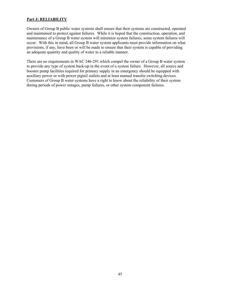# **Part J: RELIABILITY**

Owners of Group B public water systems shall ensure that their systems are constructed, operated and maintained to protect against failures. While it is hoped that the construction, operation, and maintenance of a Group B water system will minimize system failures, some system failures will occur. With this in mind, all Group B water system applicants must provide information on what provisions, if any, have been or will be made to ensure that their system is capable of providing an adequate quantity and quality of water in a reliable manner.

There are no requirements in WAC 246-291 which compel the owner of a Group B water system to provide any type of system back-up in the event of a system failure. However, all source and booster pump facilities required for primary supply in an emergency should be equipped with auxiliary power or with power pigtail outlets and at least manual transfer switching devices. Customers of Group B water systems have a right to know about the reliability of their system during periods of power outages, pump failures, or other system component failures.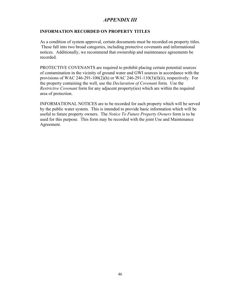# *APPENDIX III*

# **INFORMATION RECORDED ON PROPERTY TITLES**

As a condition of system approval, certain documents must be recorded on property titles. These fall into two broad categories, including protective covenants and informational notices. Additionally, we recommend that ownership and maintenance agreements be recorded.

PROTECTIVE COVENANTS are required to prohibit placing certain potential sources of contamination in the vicinity of ground water and GWI sources in accordance with the provisions of WAC 246-291-100(2)(h) or WAC 246-291-110(3)(f)(ii), respectively. For the property containing the well, use the *Declaration of Covenant* form. Use the *Restrictive Covenant* form for any adjacent property(ies) which are within the required area of protection.

INFORMATIONAL NOTICES are to be recorded for each property which will be served by the public water system. This is intended to provide basic information which will be useful to future property owners. The *Notice To Future Property Owners* form is to be used for this purpose. This form may be recorded with the joint Use and Maintenance Agreement.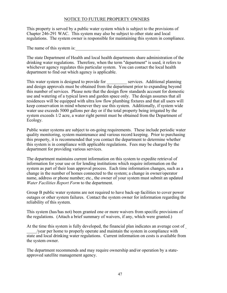# NOTICE TO FUTURE PROPERTY OWNERS

This property is served by a public water system which is subject to the provisions of Chapter 246-291 WAC. This system may also be subject to other state and local regulations. The system owner is responsible for maintaining this system in compliance.

The name of this system is:

The state Department of Health and local health departments share administration of the drinking water regulations. Therefore, when the term "department" is used, it refers to whichever agency regulates this particular system. You can contact the local health department to find out which agency is applicable.

This water system is designed to provide for \_\_\_\_\_\_\_\_\_ services. Additional planning and design approvals must be obtained from the department prior to expanding beyond this number of services. Please note that the design flow standards account for domestic use and watering of a typical lawn and garden space only. The design assumes that all residences will be equipped with ultra low flow plumbing fixtures and that all users will keep conservation in mind whenever they use this system. Additionally, if system wide water use exceeds 5000 gallons per day or if the total property being irrigated by the system exceeds 1/2 acre, a water right permit must be obtained from the Department of Ecology.

Public water systems are subject to on-going requirements. These include periodic water quality monitoring, system maintenance and various record keeping. Prior to purchasing this property, it is recommended that you contact the department to determine whether this system is in compliance with applicable regulations. Fees may be charged by the department for providing various services.

The department maintains current information on this system to expedite retrieval of information for your use or for lending institutions which require information on the system as part of their loan approval process. Each time information changes, such as a change in the number of homes connected to the system; a change in owner/operator name, address or phone number; etc., the owner of your system must submit an updated *Water Facilities Report Form* to the department.

Group B public water systems are not required to have back-up facilities to cover power outages or other system failures. Contact the system owner for information regarding the reliability of this system.

This system (has/has not) been granted one or more waivers from specific provisions of the regulations. (Attach a brief summary of waivers, if any, which were granted.)

At the time this system is fully developed, the financial plan indicates an average cost of /year per home to properly operate and maintain the system in compliance with state and local drinking water regulations. Current information on costs is available from the system owner.

The department recommends and may require ownership and/or operation by a stateapproved satellite management agency.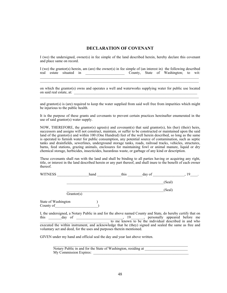# **DECLARATION OF COVENANT**

I (we) the undersigned, owner(s) in fee simple of the land described herein, hereby declare this covenant and place same on record.

I (we) the grantor(s) herein, am (are) the owner(s) in fee simple of (an interest in) the following described real estate situated in  $\begin{array}{ccc} \text{County, State of Washington; to wit:} \end{array}$ 

on which the grantor(s) owns and operates a well and waterworks supplying water for public use located on said real estate, at:  $\mathcal{L}_\mathcal{L} = \{ \mathcal{L}_\mathcal{L} = \{ \mathcal{L}_\mathcal{L} = \{ \mathcal{L}_\mathcal{L} = \{ \mathcal{L}_\mathcal{L} = \{ \mathcal{L}_\mathcal{L} = \{ \mathcal{L}_\mathcal{L} = \{ \mathcal{L}_\mathcal{L} = \{ \mathcal{L}_\mathcal{L} = \{ \mathcal{L}_\mathcal{L} = \{ \mathcal{L}_\mathcal{L} = \{ \mathcal{L}_\mathcal{L} = \{ \mathcal{L}_\mathcal{L} = \{ \mathcal{L}_\mathcal{L} = \{ \mathcal{L}_\mathcal{$ 

and grantor(s) is (are) required to keep the water supplied from said well free from impurities which might be injurious to the public health.

It is the purpose of these grants and covenants to prevent certain practices hereinafter enumerated in the use of said grantor(s) water supply.

NOW, THEREFORE, the grantor(s) agree(s) and covenant(s) that said grantor(s), his (her) (their) heirs, successors and assigns will not construct, maintain, or suffer to be constructed or maintained upon the said land of the grantor(s) and within 100 (One Hundred) feet of the well herein described, so long as the same is operated to furnish water for public consumption, any potential source of contamination, such as septic tanks and drainfields, sewerlines, underground storage tanks, roads, railroad tracks, vehicles, structures, barns, feed stations, grazing animals, enclosures for maintaining fowl or animal manure, liquid or dry chemical storage, herbicides, insecticides, hazardous waste, or garbage of any kind or description.

These covenants shall run with the land and shall be binding to all parties having or acquiring any right, title, or interest in the land described herein or any part thereof, and shall inure to the benefit of each owner thereof.

| <b>WITNESS</b>                   | hand                 | this | day of | 19     |
|----------------------------------|----------------------|------|--------|--------|
|                                  |                      |      |        | (Seal) |
|                                  | $G \text{rantor}(s)$ |      |        | (Seal) |
| State of Washington<br>County of |                      |      |        |        |

I, the undersigned, a Notary Public in and for the above named County and State, do hereby certify that on this day of the contract of the contract of the contract of the contract of the contract of the contract of the contract of the contract of the contract of the contract of the contract of the contract of the contract of th \_\_\_\_\_\_\_\_\_\_\_\_\_\_\_\_\_\_\_\_\_\_\_\_\_\_\_\_\_\_\_\_\_\_\_\_\_ to me known to be the individual described in and who executed the within instrument, and acknowledge that he (they) signed and sealed the same as free and voluntary act and deed, for the uses and purposes therein mentioned.

GIVEN under my hand and official seal the day and year last above written.

 Notary Public in and for the State of Washington, residing at \_\_\_\_\_\_\_\_\_\_\_\_\_\_\_\_\_\_\_\_\_\_\_ My Commission Expires:

 $\mathcal{L}_\text{max} = \frac{1}{2} \sum_{i=1}^{n} \frac{1}{2} \sum_{i=1}^{n} \frac{1}{2} \sum_{i=1}^{n} \frac{1}{2} \sum_{i=1}^{n} \frac{1}{2} \sum_{i=1}^{n} \frac{1}{2} \sum_{i=1}^{n} \frac{1}{2} \sum_{i=1}^{n} \frac{1}{2} \sum_{i=1}^{n} \frac{1}{2} \sum_{i=1}^{n} \frac{1}{2} \sum_{i=1}^{n} \frac{1}{2} \sum_{i=1}^{n} \frac{1}{2} \sum_{i=1}^{n} \frac{1$